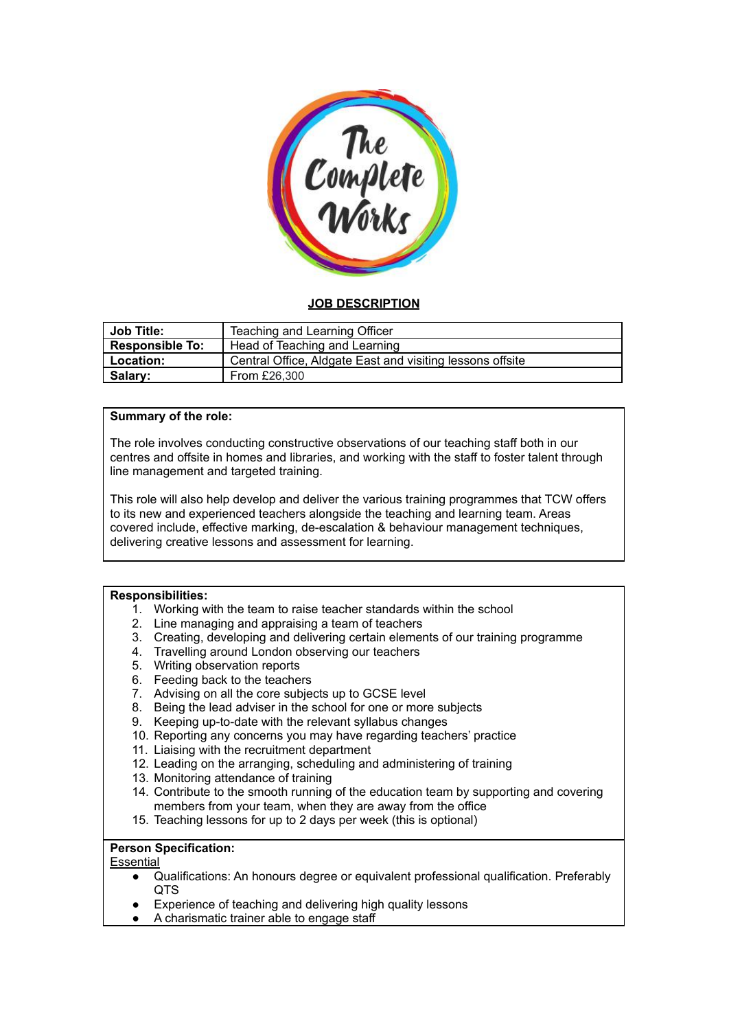

# **JOB DESCRIPTION**

| <b>Job Title:</b>      | Teaching and Learning Officer                             |
|------------------------|-----------------------------------------------------------|
| <b>Responsible To:</b> | Head of Teaching and Learning                             |
| <b>Location:</b>       | Central Office, Aldgate East and visiting lessons offsite |
| Salary:                | From £26,300                                              |

# **Summary of the role:**

The role involves conducting constructive observations of our teaching staff both in our centres and offsite in homes and libraries, and working with the staff to foster talent through line management and targeted training.

This role will also help develop and deliver the various training programmes that TCW offers to its new and experienced teachers alongside the teaching and learning team. Areas covered include, effective marking, de-escalation & behaviour management techniques, delivering creative lessons and assessment for learning.

# **Responsibilities:**

- 1. Working with the team to raise teacher standards within the school
- 2. Line managing and appraising a team of teachers
- 3. Creating, developing and delivering certain elements of our training programme
- 4. Travelling around London observing our teachers
- 5. Writing observation reports
- 6. Feeding back to the teachers
- 7. Advising on all the core subjects up to GCSE level
- 8. Being the lead adviser in the school for one or more subjects
- 9. Keeping up-to-date with the relevant syllabus changes
- 10. Reporting any concerns you may have regarding teachers' practice
- 11. Liaising with the recruitment department
- 12. Leading on the arranging, scheduling and administering of training
- 13. Monitoring attendance of training
- 14. Contribute to the smooth running of the education team by supporting and covering members from your team, when they are away from the office
- 15. Teaching lessons for up to 2 days per week (this is optional)

### **Person Specification:**

### **Essential**

- Qualifications: An honours degree or equivalent professional qualification. Preferably QTS
- Experience of teaching and delivering high quality lessons
- A charismatic trainer able to engage staff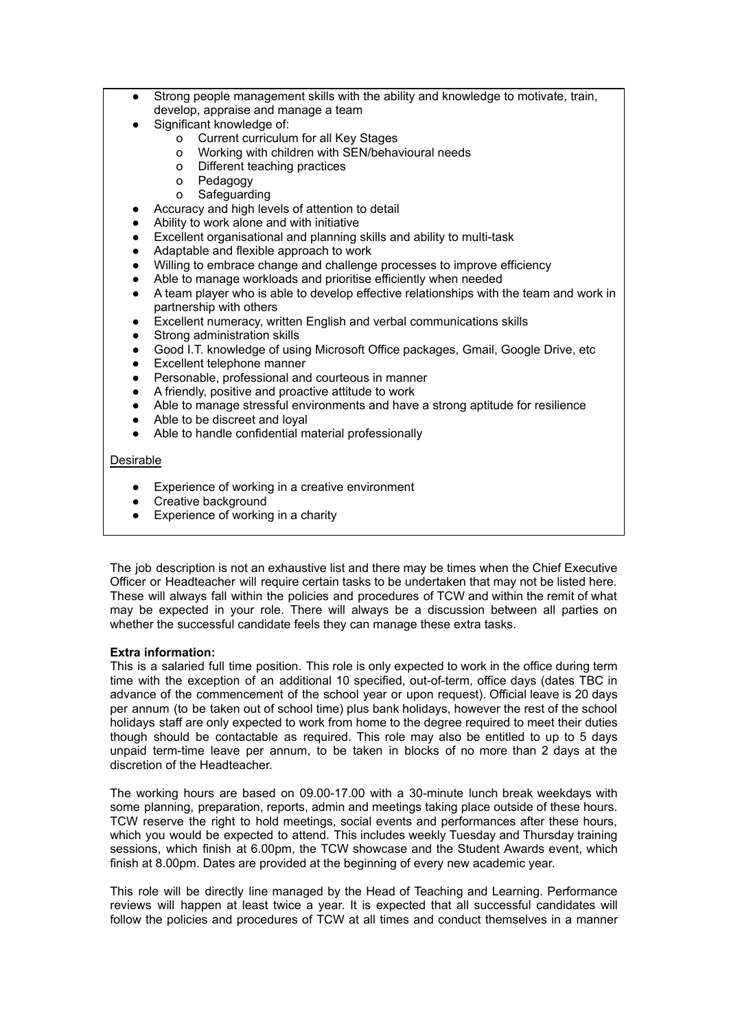- Strong people management skills with the ability and knowledge to motivate, train, develop, appraise and manage a team
- Significant knowledge of:
	- o Current curriculum for all Key Stages
	- o Working with children with SEN/behavioural needs
	- o Different teaching practices
	- o Pedagogy
	- o Safeguarding
	- Accuracy and high levels of attention to detail
- Ability to work alone and with initiative
- Excellent organisational and planning skills and ability to multi-task
- Adaptable and flexible approach to work
- Willing to embrace change and challenge processes to improve efficiency
- Able to manage workloads and prioritise efficiently when needed
- A team player who is able to develop effective relationships with the team and work in partnership with others
- Excellent numeracy, written English and verbal communications skills
- Strong administration skills
- Good I.T. knowledge of using Microsoft Office packages, Gmail, Google Drive, etc
- **Excellent telephone manner**
- Personable, professional and courteous in manner
- A friendly, positive and proactive attitude to work
- Able to manage stressful environments and have a strong aptitude for resilience
- Able to be discreet and loyal
- Able to handle confidential material professionally

## **Desirable**

- Experience of working in a creative environment
- Creative background
- Experience of working in a charity

The job description is not an exhaustive list and there may be times when the Chief Executive Officer or Headteacher will require certain tasks to be undertaken that may not be listed here. These will always fall within the policies and procedures of TCW and within the remit of what may be expected in your role. There will always be a discussion between all parties on whether the successful candidate feels they can manage these extra tasks.

### **Extra information:**

This is a salaried full time position. This role is only expected to work in the office during term time with the exception of an additional 10 specified, out-of-term, office days (dates TBC in advance of the commencement of the school year or upon request). Official leave is 20 days per annum (to be taken out of school time) plus bank holidays, however the rest of the school holidays staff are only expected to work from home to the degree required to meet their duties though should be contactable as required. This role may also be entitled to up to 5 days unpaid term-time leave per annum, to be taken in blocks of no more than 2 days at the discretion of the Headteacher.

The working hours are based on 09.00-17.00 with a 30-minute lunch break weekdays with some planning, preparation, reports, admin and meetings taking place outside of these hours. TCW reserve the right to hold meetings, social events and performances after these hours, which you would be expected to attend. This includes weekly Tuesday and Thursday training sessions, which finish at 6.00pm, the TCW showcase and the Student Awards event, which finish at 8.00pm. Dates are provided at the beginning of every new academic year.

This role will be directly line managed by the Head of Teaching and Learning. Performance reviews will happen at least twice a year. It is expected that all successful candidates will follow the policies and procedures of TCW at all times and conduct themselves in a manner